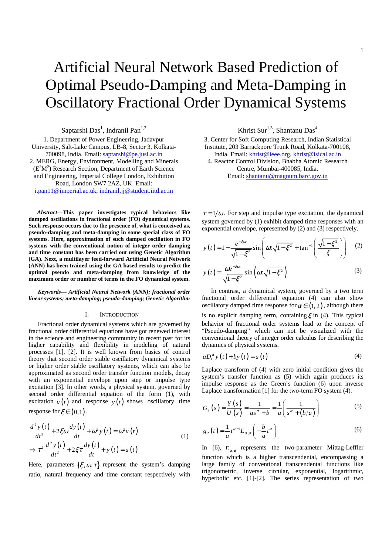# Artificial Neural Network Based Prediction of Optimal Pseudo-Damping and Meta-Damping in Oscillatory Fractional Order Dynamical Systems

Saptarshi Das<sup>1</sup>, Indranil Pan<sup>1,2</sup>

1. Department of Power Engineering, Jadavpur University, Salt-Lake Campus, LB-8, Sector 3, Kolkata-700098, India. Email: saptarshi@pe.jusl.ac.in 2. MERG, Energy, Environment, Modelling and Minerals  $(E<sup>2</sup>M<sup>2</sup>)$  Research Section, Department of Earth Science and Engineering, Imperial College London, Exhibition Road, London SW7 2AZ, UK. Email: i.pan11@imperial.ac.uk, indranil.jj@student.iitd.ac.in

*Abstract***—This paper investigates typical behaviors like damped oscillations in fractional order (FO) dynamical systems. Such response occurs due to the presence of, what is conceived as, pseudo-damping and meta-damping in some special class of FO systems. Here, approximation of such damped oscillation in FO systems with the conventional notion of integer order damping and time constant has been carried out using Genetic Algorithm (GA). Next, a multilayer feed-forward Artificial Neural Network (ANN) has been trained using the GA based results to predict the optimal pseudo and meta-damping from knowledge of the maximum order or number of terms in the FO dynamical system.** 

*Keywords— Artificial Neural Network (ANN); fractional order linear systems; meta-damping; pseudo-damping; Genetic Algorithm*

## I. INTRODUCTION

Fractional order dynamical systems which are governed by fractional order differential equations have got renewed interest in the science and engineering community in recent past for its higher capability and flexibility in modeling of natural processes [1], [2]. It is well known from basics of control theory that second order stable oscillatory dynamical systems or higher order stable oscillatory systems, which can also be approximated as second order transfer function models, decay with an exponential envelope upon step or impulse type excitation [3]. In other words, a physical system, governed by second order differential equation of the form (1), with excitation  $u(t)$  and response  $y(t)$  shows oscillatory time response for  $\xi \in (0,1)$ .

$$
\frac{d^2 y(t)}{dt^2} + 2\xi\omega \frac{dy(t)}{dt} + \omega^2 y(t) = \omega^2 u(t)
$$
  
\n
$$
\Rightarrow \tau^2 \frac{d^2 y(t)}{dt^2} + 2\xi\tau \frac{dy(t)}{dt} + y(t) = u(t)
$$
\n(1)

Here, parameters  $\{\xi, \omega, \tau\}$  represent the system's damping ratio, natural frequency and time constant respectively with Khrist Sur<sup>1,3</sup>, Shantanu Das<sup>4</sup>

3. Center for Soft Computing Research, Indian Statistical Institute, 203 Barrackpore Trunk Road, Kolkata-700108, India. Email: khrist@ieee.org, khrist@isical.ac.in 4. Reactor Control Division, Bhabha Atomic Research

Centre, Mumbai-400085, India. Email: shantanu@magnum.barc.gov.in

 $\tau = 1/\omega$ . For step and impulse type excitation, the dynamical system governed by (1) exhibit damped time responses with an exponential envelope, represented by (2) and (3) respectively.

$$
y(t) = 1 - \frac{e^{-\xi \omega t}}{\sqrt{1 - \xi^2}} \sin \left( \omega t \sqrt{1 - \xi^2} + \tan^{-1} \left( \frac{\sqrt{1 - \xi^2}}{\xi} \right) \right) \quad (2)
$$

$$
y(t) = \frac{\omega e^{-\xi \omega t}}{\sqrt{1 - \xi^2}} \sin\left(\omega t \sqrt{1 - \xi^2}\right)
$$
 (3)

In contrast, a dynamical system, governed by a two term fractional order differential equation (4) can also show oscillatory damped time response for  $\alpha \in (1, 2)$ , although there is no explicit damping term, containing  $\xi$  in (4). This typical behavior of fractional order systems lead to the concept of "Pseudo-damping" which can not be visualized with the conventional theory of integer order calculus for describing the dynamics of physical systems.

$$
aD_t^{\alpha} y(t) + by(t) = u(t)
$$
\n<sup>(4)</sup>

Laplace transform of (4) with zero initial condition gives the system's transfer function as (5) which again produces its impulse response as the Green's function (6) upon inverse Laplace transformation [1] for the two-term FO system (4).

$$
G_2(s) = \frac{Y(s)}{U(s)} = \frac{1}{as^{\alpha} + b} = \frac{1}{a} \left( \frac{1}{s^{\alpha} + (b/a)} \right)
$$
(5)

$$
g_2(t) = \frac{1}{a} t^{\alpha - 1} E_{\alpha, \alpha} \left( -\frac{b}{a} t^{\alpha} \right)
$$
 (6)

In (6),  $E_{\alpha,\beta}$  represents the two-parameter Mittag-Leffler function which is a higher transcendental, encompassing a large family of conventional transcendental functions like trigonometric, inverse circular, exponential, logarithmic, hyperbolic etc. [1]-[2]. The series representation of two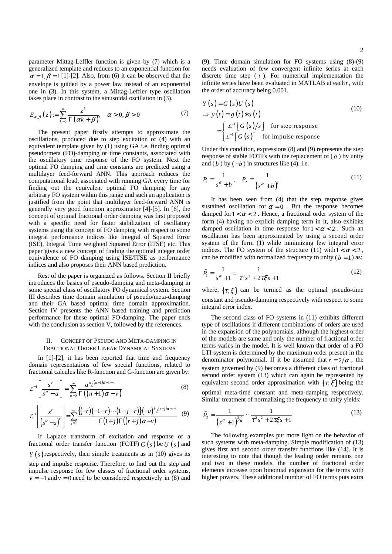parameter Mittag-Leffler function is given by (7) which is a generalized template and reduces to an exponential function for  $\alpha = 1, \beta = 1$  [1]-[2]. Also, from (6) it can be observed that the envelope is guided by a power law instead of an exponential one in (3). In this system, a Mittag-Leffler type oscillation takes place in contrast to the sinusoidal oscillation in (3).

$$
E_{\alpha,\beta}(z) := \sum_{k=0}^{\infty} \frac{z^k}{\Gamma(\alpha k + \beta)}, \quad \alpha > 0, \beta > 0 \tag{7}
$$

The present paper firstly attempts to approximate the oscillations, produced due to step excitation of (4) with an equivalent template given by (1) using GA i.e. finding optimal pseudo/meta (FO)-damping or time constants, associated with the oscillatory time response of the FO system. Next the optimal FO damping and time constants are predicted using a multilayer feed-forward ANN. This approach reduces the computational load, associated with running GA every time for finding out the equivalent optimal FO damping for any arbitrary FO system within this range and such an application is justified from the point that multilayer feed-forward ANN is generally very good function approximator [4]-[5]. In [6], the concept of optimal fractional order damping was first proposed with a specific need for faster stabilization of oscillatory systems using the concept of FO damping with respect to some integral performance indices like Integral of Squared Error (ISE), Integral Time weighted Squared Error (ITSE) etc. This paper gives a new concept of finding the optimal integer order equivalence of FO damping using ISE/ITSE as performance indices and also proposes their ANN based prediction.

Rest of the paper is organized as follows. Section II briefly introduces the basics of pseudo-damping and meta-damping in some special class of oscillatory FO dynamical system. Section III describes time domain simulation of pseudo/meta-damping and their GA based optimal time domain approximation. Section IV presents the ANN based training and prediction performance for these optimal FO-damping. The paper ends with the conclusion as section V, followed by the references.

# II. CONCEPT OF PSEUDO AND META-DAMPING IN FRACTIONAL ORDER LINEAR DYNAMICAL SYSTEMS

In [1]-[2], it has been reported that time and frequency domain representations of few special functions, related to fractional calculus like R-function and G-function are given by:

$$
\mathcal{L}^{-1}\left[\frac{s^{\nu}}{s^{\alpha}-a}\right] = \sum_{n=0}^{\infty} \frac{a^{n}t^{(n+1)\alpha-1-\nu}}{\Gamma((n+1)\alpha-\nu)}
$$
(8)  

$$
\mathcal{L}^{-1}\left[\frac{s^{\nu}}{\left(s^{\alpha}-a\right)^{r}}\right] = \sum_{j=0}^{\infty} \frac{\left\{(-r)(-1-r)\cdots(1-j-r)\right\}(-a)^{j}t^{(r+j)\alpha-\nu-1}}{\Gamma(1+j)\Gamma((r+j)\alpha-\nu)}
$$
(9)

If Laplace transform of excitation and response of a fractional order transfer function (FOTF)  $G(s)$  be  $U(s)$  and  $Y(s)$  respectively, then simple treatments as in (10) gives its step and impulse response. Therefore, to find out the step and impulse response for few classes of fractional order systems,  $v = -1$  and  $v = 0$  need to be considered respectively in (8) and (9). Time domain simulation for FO systems using (8)-(9) needs evaluation of few convergent infinite series at each discrete time step ( *t* ). For numerical implementation the infinite series have been evaluated in MATLAB at each *t* , with the order of accuracy being 0.001.

$$
Y(s) = G(s)U(s)
$$
  
\n
$$
\Rightarrow y(t) = g(t) * u(t)
$$
  
\n
$$
= \begin{cases} \n\mathcal{L}^{-1}[G(s)/s] & \text{for step response} \\ \n\mathcal{L}^{-1}[G(s)] & \text{for impulse response} \n\end{cases}
$$
\n(10)

Under this condition, expressions (8) and (9) represents the step response of stable FOTFs with the replacement of  $\left( a \right)$  by unity and  $(b)$  by  $(-b)$  in structures like (4). i.e.

$$
P_1 = \frac{1}{s^{\alpha} + b}, \quad P_2 = \frac{1}{(s^{\alpha} + b)^{r}}
$$
 (11)

It has been seen from (4) that the step response gives sustained oscillation for  $\alpha = 0$ . But the response becomes damped for  $1 < \alpha < 2$ . Hence, a fractional order system of the form (4) having no explicit damping term in it, also exhibits damped oscillation in time response for  $1 < \alpha < 2$ . Such an oscillation has been approximated by using a second order system of the form (1) while minimizing few integral error indices. The FO system of the structure (11) with  $1 < \alpha < 2$ , can be modified with normalized frequency to unity  $(b = 1)$  as:

$$
\tilde{P}_1 = \frac{1}{s^{\alpha} + 1} \approx \frac{1}{\tau^2 s^2 + 2\tau \xi s + 1}
$$
\n(12)

where,  $\{\tau, \xi\}$  can be termed as the optimal pseudo-time constant and pseudo-damping respectively with respect to some integral error index.

The second class of FO systems in (11) exhibits different type of oscillations if different combinations of orders are used in the expansion of the polynomials, although the highest order of the models are same and only the number of fractional order terms varies in the model. It is well known that order of a FO LTI system is determined by the maximum order present in the denominator polynomial. If it be assumed that  $r = 2/\alpha$ , the system governed by (9) becomes a different class of fractional second order system (13) which can again be represented by equivalent second order approximation with  $\{\tau, \xi\}$  being the optimal meta-time constant and meta-damping respectively. Similar treatment of normalizing the frequency to unity yields:

$$
\tilde{P}_2 = \frac{1}{\left(s^\alpha + 1\right)^{2\alpha}} \approx \frac{1}{\tau^2 s^2 + 2\tau \xi s + 1} \tag{13}
$$

The following examples put more light on the behavior of such systems with meta-damping. Simple modification of (13) gives first and second order transfer functions like (14). It is interesting to note that though the leading order remains one and two in these models, the number of fractional order elements increase upon binomial expansion for the terms with higher powers. These additional number of FO terms puts extra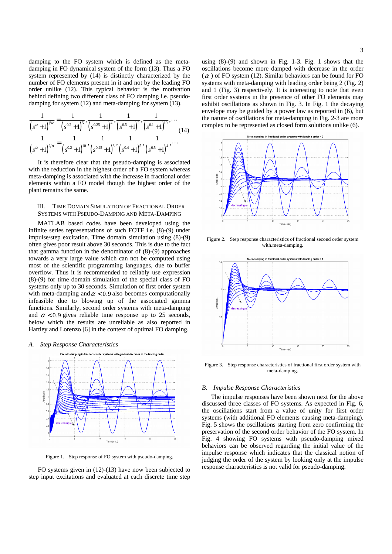damping to the FO system which is defined as the metadamping in FO dynamical system of the form (13). Thus a FO system represented by (14) is distinctly characterized by the number of FO elements present in it and not by the leading FO order unlike (12). This typical behavior is the motivation behind defining two different class of FO damping i.e. pseudodamping for system (12) and meta-damping for system (13).

$$
\frac{1}{\left(s^{\alpha}+1\right)^{1/\alpha}} = \frac{1}{\left(s^{0.2}+1\right)^5}, \frac{1}{\left(s^{0.25}+1\right)^4}, \frac{1}{\left(s^{0.5}+1\right)^2}, \frac{1}{\left(s^{0.1}+1\right)^{10}}, \dots
$$
\n
$$
\frac{1}{\left(s^{\alpha}+1\right)^{2/\alpha}} = \frac{1}{\left(s^{0.2}+1\right)^{10}}, \frac{1}{\left(s^{0.25}+1\right)^8}, \frac{1}{\left(s^{0.4}+1\right)^5}, \frac{1}{\left(s^{0.5}+1\right)^4}, \dots
$$
\n(14)

It is therefore clear that the pseudo-damping is associated with the reduction in the highest order of a FO system whereas meta-damping is associated with the increase in fractional order elements within a FO model though the highest order of the plant remains the same.

# III. TIME DOMAIN SIMULATION OF FRACTIONAL ORDER SYSTEMS WITH PSEUDO-DAMPING AND META-DAMPING

MATLAB based codes have been developed using the infinite series representations of such FOTF i.e. (8)-(9) under impulse/step excitation. Time domain simulation using (8)-(9) often gives poor result above 30 seconds. This is due to the fact that gamma function in the denominator of (8)-(9) approaches towards a very large value which can not be computed using most of the scientific programming languages, due to buffer overflow. Thus it is recommended to reliably use expression (8)-(9) for time domain simulation of the special class of FO systems only up to 30 seconds. Simulation of first order system with meta-damping and  $\alpha$  < 0.9 also becomes computationally infeasible due to blowing up of the associated gamma functions. Similarly, second order systems with meta-damping and  $\alpha$  < 0.9 gives reliable time response up to 25 seconds, below which the results are unreliable as also reported in Hartley and Lorenzo [6] in the context of optimal FO damping.

## *A. Step Response Characteristics*



Figure 1. Step response of FO system with pseudo-damping.

FO systems given in (12)-(13) have now been subjected to step input excitations and evaluated at each discrete time step using (8)-(9) and shown in Fig. 1-3. Fig. 1 shows that the oscillations become more damped with decrease in the order  $(\alpha)$  of FO system (12). Similar behaviors can be found for FO systems with meta-damping with leading order being 2 (Fig. 2) and 1 (Fig. 3) respectively. It is interesting to note that even first order systems in the presence of other FO elements may exhibit oscillations as shown in Fig. 3. In Fig. 1 the decaying envelope may be guided by a power law as reported in (6), but the nature of oscillations for meta-damping in Fig. 2-3 are more complex to be represented as closed form solutions unlike (6).



Figure 2. Step response characteristics of fractional second order system with.meta-damping.



Figure 3. Step response characteristics of fractional first order system with meta-damping.

#### *B. Impulse Response Characteristics*

The impulse responses have been shown next for the above discussed three classes of FO systems. As expected in Fig. 6, the oscillations start from a value of unity for first order systems (with additional FO elements causing meta-damping). Fig. 5 shows the oscillations starting from zero confirming the preservation of the second order behavior of the FO system. In Fig. 4 showing FO systems with pseudo-damping mixed behaviors can be observed regarding the initial value of the impulse response which indicates that the classical notion of judging the order of the system by looking only at the impulse response characteristics is not valid for pseudo-damping.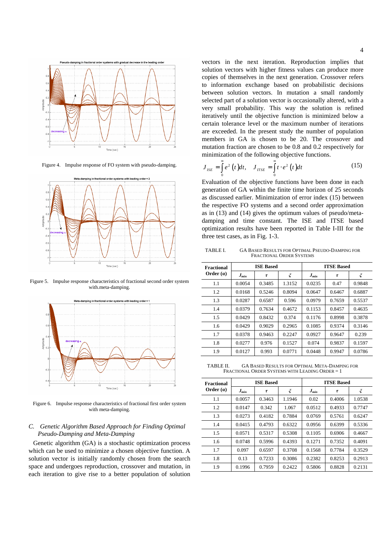

Figure 4. Impulse response of FO system with pseudo-damping.



Figure 5. Impulse response characteristics of fractional second order system with.meta-damping.



Figure 6. Impulse response characteristics of fractional first order system with meta-damping.

# *C. Genetic Algorithm Based Approach for Finding Optimal Pseudo-Damping and Meta-Damping*

Genetic algorithm (GA) is a stochastic optimization process which can be used to minimize a chosen objective function. A solution vector is initially randomly chosen from the search space and undergoes reproduction, crossover and mutation, in each iteration to give rise to a better population of solution vectors in the next iteration. Reproduction implies that solution vectors with higher fitness values can produce more copies of themselves in the next generation. Crossover refers to information exchange based on probabilistic decisions between solution vectors. In mutation a small randomly selected part of a solution vector is occasionally altered, with a very small probability. This way the solution is refined iteratively until the objective function is minimized below a certain tolerance level or the maximum number of iterations are exceeded. In the present study the number of population members in GA is chosen to be 20. The crossover and mutation fraction are chosen to be 0.8 and 0.2 respectively for minimization of the following objective functions.

$$
J_{ISE} = \int_{0}^{\infty} e^2 \left( t \right) dt, \quad J_{IISE} = \int_{0}^{\infty} t \cdot e^2 \left( t \right) dt \tag{15}
$$

Evaluation of the objective functions have been done in each generation of GA within the finite time horizon of 25 seconds as discussed earlier. Minimization of error index (15) between the respective FO systems and a second order approximation as in (13) and (14) gives the optimum values of pseudo/metadamping and time constant. The ISE and ITSE based optimization results have been reported in Table I-III for the three test cases, as in Fig. 1-3.

TABLE I. GA BASED RESULTS FOR OPTIMAL PSEUDO-DAMPING FOR FRACTIONAL ORDER SYSTEMS

| Fractional<br>Order $(a)$ | <b>ISE Based</b> |        |        | <b>ITSE Based</b> |        |        |
|---------------------------|------------------|--------|--------|-------------------|--------|--------|
|                           | $J_{min}$        | τ      | ξ      | $J_{min}$         | τ      | ξ      |
| 1.1                       | 0.0054           | 0.3485 | 1.3152 | 0.0235            | 0.47   | 0.9848 |
| 1.2                       | 0.0168           | 0.5246 | 0.8094 | 0.0647            | 0.6467 | 0.6887 |
| 1.3                       | 0.0287           | 0.6587 | 0.596  | 0.0979            | 0.7659 | 0.5537 |
| 1.4                       | 0.0379           | 0.7634 | 0.4672 | 0.1153            | 0.8457 | 0.4635 |
| 1.5                       | 0.0429           | 0.8432 | 0.374  | 0.1176            | 0.8998 | 0.3878 |
| 1.6                       | 0.0429           | 0.9029 | 0.2965 | 0.1085            | 0.9374 | 0.3146 |
| 1.7                       | 0.0378           | 0.9463 | 0.2247 | 0.0927            | 0.9647 | 0.239  |
| 1.8                       | 0.0277           | 0.976  | 0.1527 | 0.074             | 0.9837 | 0.1597 |
| 1.9                       | 0.0127           | 0.993  | 0.0771 | 0.0448            | 0.9947 | 0.0786 |

TABLE II. GA BASED RESULTS FOR OPTIMAL META-DAMPING FOR FRACTIONAL ORDER SYSTEMS WITH LEADING ORDER = 1

| Fractional<br>Order $(a)$ |           | <b>ISE Based</b> |        | <b>ITSE Based</b> |        |        |
|---------------------------|-----------|------------------|--------|-------------------|--------|--------|
|                           | $J_{min}$ | τ                | ξ      | $J_{min}$         | τ      | ξ      |
| 1.1                       | 0.0057    | 0.3463           | 1.1946 | 0.02              | 0.4006 | 1.0538 |
| 1.2                       | 0.0147    | 0.342            | 1.067  | 0.0512            | 0.4933 | 0.7747 |
| 1.3                       | 0.0273    | 0.4182           | 0.7884 | 0.0769            | 0.5761 | 0.6247 |
| 1.4                       | 0.0415    | 0.4793           | 0.6322 | 0.0956            | 0.6399 | 0.5336 |
| 1.5                       | 0.0571    | 0.5317           | 0.5308 | 0.1105            | 0.6906 | 0.4667 |
| 1.6                       | 0.0748    | 0.5996           | 0.4393 | 0.1271            | 0.7352 | 0.4091 |
| 1.7                       | 0.097     | 0.6597           | 0.3708 | 0.1568            | 0.7784 | 0.3529 |
| 1.8                       | 0.13      | 0.7233           | 0.3086 | 0.2382            | 0.8253 | 0.2913 |
| 1.9                       | 0.1996    | 0.7959           | 0.2422 | 0.5806            | 0.8828 | 0.2131 |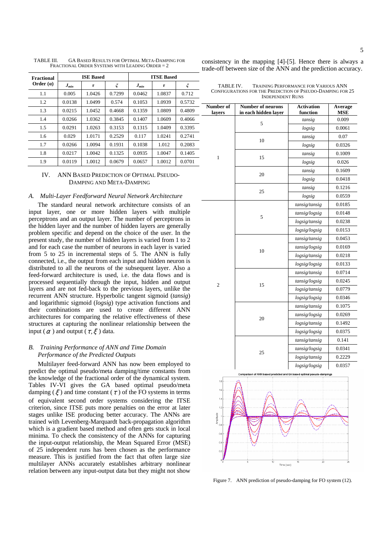| Fractional<br>Order $(a)$ | <b>ISE Based</b> |        |        | <b>ITSE Based</b> |        |        |
|---------------------------|------------------|--------|--------|-------------------|--------|--------|
|                           | $J_{min}$        | τ      | ξ      | $J_{min}$         | τ      | ξ      |
| 1.1                       | 0.005            | 1.0426 | 0.7299 | 0.0462            | 1.0837 | 0.712  |
| 1.2                       | 0.0138           | 1.0499 | 0.574  | 0.1053            | 1.0939 | 0.5732 |
| 1.3                       | 0.0215           | 1.0452 | 0.4668 | 0.1359            | 1.0809 | 0.4809 |
| 1.4                       | 0.0266           | 1.0362 | 0.3845 | 0.1407            | 1.0609 | 0.4066 |
| 1.5                       | 0.0291           | 1.0263 | 0.3153 | 0.1315            | 1.0409 | 0.3395 |
| 1.6                       | 0.029            | 1.0171 | 0.2529 | 0.117             | 1.0241 | 0.2741 |
| 1.7                       | 0.0266           | 1.0094 | 0.1931 | 0.1038            | 1.012  | 0.2083 |
| 1.8                       | 0.0217           | 1.0042 | 0.1325 | 0.0935            | 1.0047 | 0.1405 |
| 1.9                       | 0.0119           | 1.0012 | 0.0679 | 0.0657            | 1.0012 | 0.0701 |

TABLE III. GA BASED RESULTS FOR OPTIMAL META-DAMPING FOR FRACTIONAL ORDER SYSTEMS WITH LEADING ORDER = 2

IV. ANN BASED PREDICTION OF OPTIMAL PSEUDO-DAMPING AND META-DAMPING

## *A. Multi-Layer Feedforward Neural Network Architecture*

The standard neural network architecture consists of an input layer, one or more hidden layers with multiple perceptrons and an output layer. The number of perceptrons in the hidden layer and the number of hidden layers are generally problem specific and depend on the choice of the user. In the present study, the number of hidden layers is varied from 1 to 2 and for each case the number of neurons in each layer is varied from 5 to 25 in incremental steps of 5. The ANN is fully connected, i.e., the output from each input and hidden neuron is distributed to all the neurons of the subsequent layer. Also a feed-forward architecture is used, i.e. the data flows and is processed sequentially through the input, hidden and output layers and are not fed-back to the previous layers, unlike the recurrent ANN structure. Hyperbolic tangent sigmoid (*tansig*) and logarithmic sigmoid (*logsig*) type activation functions and their combinations are used to create different ANN architectures for comparing the relative effectiveness of these structures at capturing the nonlinear relationship between the input ( $\alpha$ ) and output ( $\tau, \xi$ ) data.

## *B. Training Performance of ANN and Time Domain Performance of the Predicted Outputs*

Multilayer feed-forward ANN has now been employed to predict the optimal pseudo/meta damping/time constants from the knowledge of the fractional order of the dynamical system. Tables IV-VI gives the GA based optimal pseudo/meta damping  $(\xi)$  and time constant  $(\tau)$  of the FO systems in terms of equivalent second order systems considering the ITSE criterion, since ITSE puts more penalties on the error at later stages unlike ISE producing better accuracy. The ANNs are trained with Levenberg-Marquardt back-propagation algorithm which is a gradient based method and often gets stuck in local minima. To check the consistency of the ANNs for capturing the input-output relationship, the Mean Squared Error (MSE) of 25 independent runs has been chosen as the performance measure. This is justified from the fact that often large size multilayer ANNs accurately establishes arbitrary nonlinear relation between any input-output data but they might not show

consistency in the mapping [4]-[5]. Hence there is always a trade-off between size of the ANN and the prediction accuracy.

TABLE IV. TRAINING PERFORMANCE FOR VARIOUS ANN CONFIGURATIONS FOR THE PREDICTION OF PSEUDO-DAMPING FOR 25 INDEPENDENT RUNS

| Number of<br>layers                                                    | <b>Number of neurons</b><br>in each hidden laver                       | <b>Activation</b><br>function | Average<br><b>MSE</b> |
|------------------------------------------------------------------------|------------------------------------------------------------------------|-------------------------------|-----------------------|
|                                                                        | 5                                                                      | tansig                        | 0.009                 |
|                                                                        |                                                                        | logsig                        | 0.0061                |
|                                                                        |                                                                        | tansig                        | 0.07                  |
|                                                                        | 10                                                                     | logsig                        | 0.0326                |
|                                                                        |                                                                        | tansig                        | 0.1009                |
| 1                                                                      | 15                                                                     | logsig                        | 0.026                 |
|                                                                        |                                                                        | tansig                        | 0.1609                |
|                                                                        | 20                                                                     | logsig                        | 0.0418                |
|                                                                        |                                                                        | tansig                        | 0.1216                |
|                                                                        | 25                                                                     | logsig                        | 0.0559                |
|                                                                        |                                                                        | tansig/tansig                 | 0.0185                |
|                                                                        |                                                                        | tansig/logsig                 | 0.0148                |
|                                                                        | 5                                                                      | logsig/tansig                 | 0.0238                |
|                                                                        |                                                                        | logsig/logsig                 | 0.0153                |
|                                                                        |                                                                        | tansig/tansig                 | 0.0453                |
|                                                                        | 10                                                                     | tansig/logsig                 | 0.0169                |
|                                                                        |                                                                        | logsig/tansig                 | 0.0218                |
|                                                                        |                                                                        | logsig/logsig                 | 0.0133                |
|                                                                        |                                                                        | tansig/tansig                 | 0.0714                |
| $\overline{2}$                                                         | 15                                                                     | tansig/logsig                 | 0.0245                |
|                                                                        |                                                                        | logsig/tansig                 | 0.0779                |
|                                                                        |                                                                        | logsig/logsig                 | 0.0346                |
|                                                                        |                                                                        | tansig/tansig                 | 0.1075                |
|                                                                        | 20                                                                     | tansig/logsig                 | 0.0269                |
|                                                                        |                                                                        | logsig/tansig                 | 0.1492                |
|                                                                        |                                                                        | logsig/logsig                 | 0.0375                |
|                                                                        |                                                                        | tansig/tansig                 | 0.141                 |
|                                                                        | 25                                                                     | tansig/logsig                 | 0.0341                |
|                                                                        |                                                                        | logsig/tansig                 | 0.2229                |
|                                                                        |                                                                        | logsig/logsig                 | 0.0357                |
| 1.8<br>1.6<br>1.4<br>1,2<br>Amplitude<br>0.8<br>0.6<br>0.4<br>0.2<br>0 | Comparison of ANN based predicted and GA based optimal pseudo-dampings |                               |                       |
|                                                                        | 5<br>10<br>Time (sec)                                                  | 15<br>20                      | プ                     |

Figure 7. ANN prediction of pseudo-damping for FO system (12).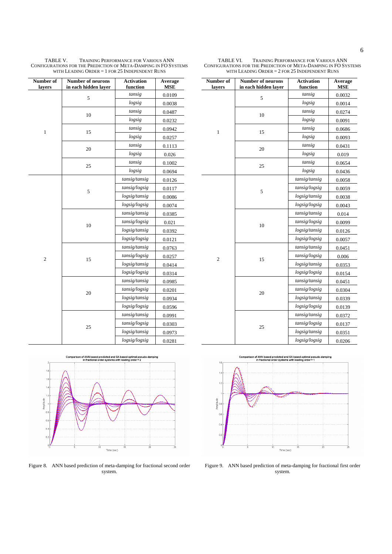| Number of<br>layers | Number of neurons<br>in each hidden layer | <b>Activation</b><br>function | Average<br><b>MSE</b> |
|---------------------|-------------------------------------------|-------------------------------|-----------------------|
|                     | 5                                         | tansig                        | 0.0109                |
|                     |                                           | logsig                        | 0.0038                |
|                     | 10                                        | tansig                        | 0.0487                |
|                     |                                           | logsig                        | 0.0232                |
| $\mathbf{1}$        | 15                                        | tansig                        | 0.0942                |
|                     |                                           | logsig                        | 0.0257                |
|                     | 20                                        | tansig                        | 0.1113                |
|                     |                                           | logsig                        | 0.026                 |
|                     | 25                                        | tansig                        | 0.1002                |
|                     |                                           | logsig                        | 0.0694                |
|                     |                                           | tansig/tansig                 | 0.0126                |
|                     | 5                                         | tansig/logsig                 | 0.0117                |
|                     |                                           | logsig/tansig                 | 0.0086                |
|                     |                                           | logsig/logsig                 | 0.0074                |
|                     |                                           | tansig/tansig                 | 0.0385                |
|                     | 10                                        | tansig/logsig                 | 0.021                 |
|                     |                                           | logsig/tansig                 | 0.0392                |
|                     |                                           | logsig/logsig                 | 0.0121                |
|                     |                                           | tansig/tansig                 | 0.0763                |
| $\overline{c}$      | 15                                        | tansig/logsig                 | 0.0257                |
|                     |                                           | logsig/tansig                 | 0.0414                |
|                     |                                           | logsig/logsig                 | 0.0314                |
|                     |                                           | tansig/tansig                 | 0.0985                |
|                     | 20                                        | tansig/logsig                 | 0.0201                |
|                     |                                           | logsig/tansig                 | 0.0934                |
|                     |                                           | logsig/logsig                 | 0.0596                |
|                     |                                           | tansig/tansig                 | 0.0991                |
|                     | 25                                        | tansig/logsig                 | 0.0303                |
|                     |                                           | logsig/tansig                 | 0.0973                |
|                     |                                           | logsig/logsig                 | 0.0281                |

TABLE V. TRAINING PERFORMANCE FOR VARIOUS ANN CONFIGURATIONS FOR THE PREDICTION OF META-DAMPING IN FO SYSTEMS WITH LEADING ORDER = 1 FOR 25 INDEPENDENT RUNS

TABLE VI. TRAINING PERFORMANCE FOR VARIOUS ANN CONFIGURATIONS FOR THE PREDICTION OF META-DAMPING IN FO SYSTEMS WITH LEADING ORDER = 2 FOR 25 INDEPENDENT RUNS

> **Activation function**

**Number of neurons in each hidden layer** 

**Number of**   $\mathbf{L}$ 

| layers         | function<br>in each hidden layer |               | MSE    |
|----------------|----------------------------------|---------------|--------|
|                | 5                                | tansig        | 0.0032 |
|                |                                  | logsig        | 0.0014 |
|                | 10                               | tansig        | 0.0274 |
|                |                                  | logsig        | 0.0091 |
| $\mathbf{1}$   | 15                               | tansig        | 0.0686 |
|                |                                  | logsig        | 0.0093 |
|                | 20                               | tansig        | 0.0431 |
|                |                                  | logsig        | 0.019  |
|                | 25                               | tansig        | 0.0654 |
|                |                                  | logsig        | 0.0436 |
|                |                                  | tansig/tansig | 0.0058 |
|                | 5                                | tansig/logsig | 0.0059 |
|                |                                  | logsig/tansig | 0.0038 |
|                |                                  | logsig/logsig | 0.0043 |
|                |                                  | tansig/tansig | 0.014  |
|                | 10                               | tansig/logsig | 0.0099 |
|                |                                  | logsig/tansig | 0.0126 |
|                |                                  | logsig/logsig | 0.0057 |
| $\overline{c}$ |                                  | tansig/tansig | 0.0451 |
|                | 15                               | tansig/logsig | 0.006  |
|                |                                  | logsig/tansig | 0.0353 |
|                |                                  | logsig/logsig | 0.0154 |
|                |                                  | tansig/tansig | 0.0451 |
|                | 20                               | tansig/logsig | 0.0304 |
|                |                                  | logsig/tansig | 0.0339 |
|                |                                  | logsig/logsig | 0.0139 |
|                |                                  | tansig/tansig | 0.0372 |
|                | 25                               | tansig/logsig | 0.0137 |
|                |                                  | logsig/tansig | 0.0351 |
|                |                                  | logsig/logsig | 0.0206 |



Figure 9. ANN based prediction of meta-damping for fractional first order system.

Figure 8. ANN based prediction of meta-damping for fractional second order system.

Time (sec)

Comparison of ANN based predicted and GA based optimal pseudo-damping<br>in fractional order systems with leading order = 2

 $\overline{18}$ 

Amplitude

 $\overline{0}$ 

 $\mathbf{0}$ 

 $\overline{0}$ 

**Average**